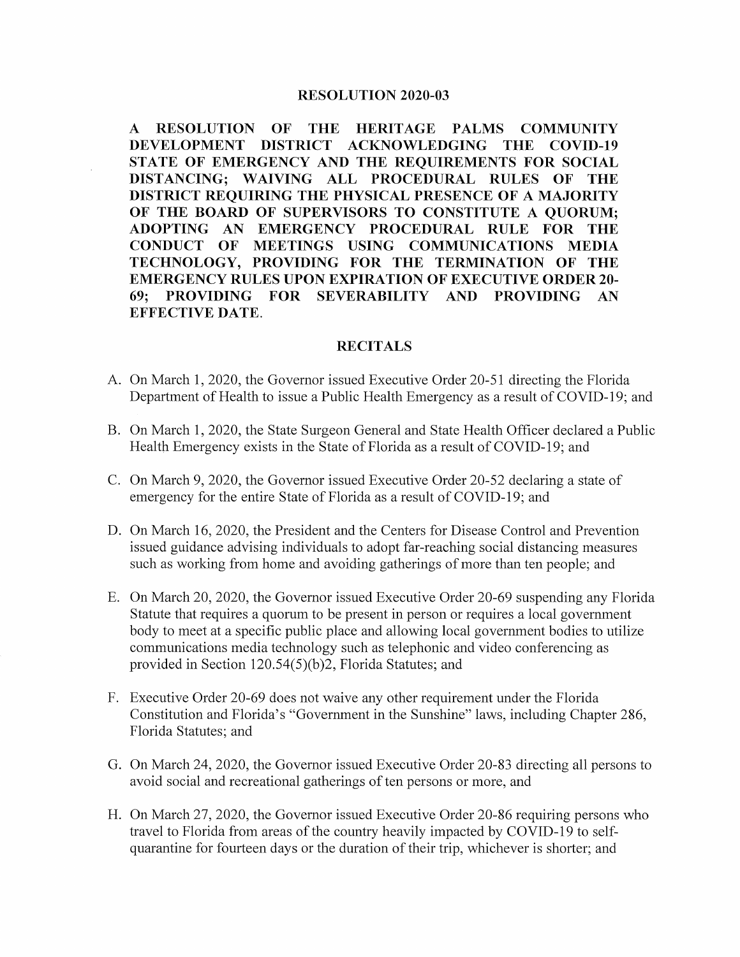## **RESOLUTION 2020-03**

**A RESOLUTION OF THE HERITAGE PALMS COMMUNITY DEVELOPMENT DISTRICT ACKNOWLEDGING THE COVID-19 STATE OF EMERGENCY AND THE REQUIREMENTS FOR SOCIAL DISTANCING; WAIVING ALL PROCEDURAL RULES OF THE DISTRICT REQUIRING THE PHYSICAL PRESENCE OF A MAJORITY OF THE BOARD OF SUPERVISORS TO CONSTITUTE A QUORUM; ADOPTING AN EMERGENCY PROCEDURAL RULE FOR THE CONDUCT OF MEETINGS USING COMMUNICATIONS MEDIA TECHNOLOGY, PROVIDING FOR THE TERMINATION OF THE EMERGENCY RULES UPON EXPIRATION OF EXECUTIVE ORDER 20- 69; PROVIDING FOR SEVERABILITY AND PROVIDING AN EFFECTIVE DATE.** 

## **RECITALS**

- A. On March 1, 2020, the Governor issued Executive Order 20-51 directing the Florida Department of Health to issue a Public Health Emergency as a result of COVID-19; and
- B. On March 1, 2020, the State Surgeon General and State Health Officer declared a Public Health Emergency exists in the State of Florida as a result of COVID-19; and
- C. On March 9, 2020, the Governor issued Executive Order 20-52 declaring a state of emergency for the entire State of Florida as a result of COVID-19; and
- D. On March 16, 2020, the President and the Centers for Disease Control and Prevention issued guidance advising individuals to adopt far-reaching social distancing measures such as working from home and avoiding gatherings of more than ten people; and
- E. On March 20, 2020, the Governor issued Executive Order 20-69 suspending any Florida Statute that requires a quorum to be present in person or requires a local government body to meet at a specific public place and allowing local government bodies to utilize communications media technology such as telephonic and video conferencing as provided in Section 120.54(5)(b)2, Florida Statutes; and
- F. Executive Order 20-69 does not waive any other requirement under the Florida Constitution and Florida's "Government in the Sunshine" laws, including Chapter 286, Florida Statutes; and
- G. On March 24, 2020, the Governor issued Executive Order 20-83 directing all persons to avoid social and recreational gatherings of ten persons or more, and
- H. On March 27, 2020, the Governor issued Executive Order 20-86 requiring persons who travel to Florida from areas of the country heavily impacted by COVID-19 to selfquarantine for fourteen days or the duration of their trip, whichever is shorter; and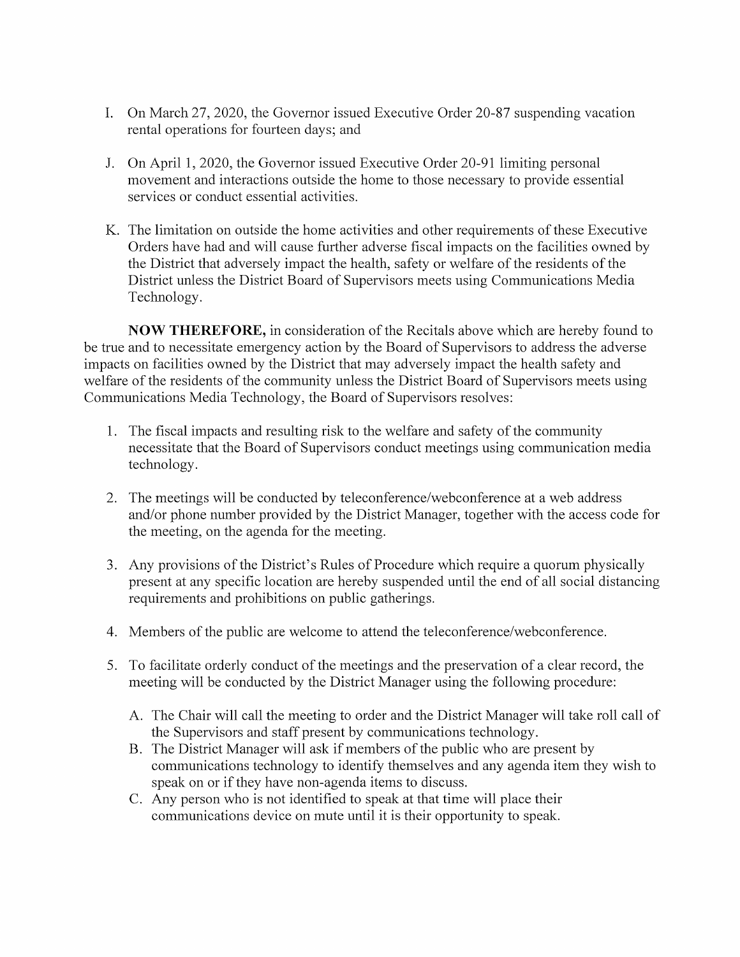- I. On March 27, 2020, the Governor issued Executive Order 20-87 suspending vacation rental operations for fourteen days; and
- J. On April 1, 2020, the Governor issued Executive Order 20-91 limiting personal movement and interactions outside the home to those necessary to provide essential services or conduct essential activities.
- K. The limitation on outside the home activities and other requirements of these Executive Orders have had and will cause further adverse fiscal impacts on the facilities owned by the District that adversely impact the health, safety or welfare of the residents of the District unless the District Board of Supervisors meets using Communications Media Technology.

**NOW THEREFORE, in consideration of the Recitals above which are hereby found to** be true and to necessitate emergency action by the Board of Supervisors to address the adverse impacts on facilities owned by the District that may adversely impact the health safety and welfare of the residents of the community unless the District Board of Supervisors meets using Communications Media Technology, the Board of Supervisors resolves:

- 1. The fiscal impacts and resulting risk to the welfare and safety of the community necessitate that the Board of Supervisors conduct meetings using communication media technology.
- 2. The meetings will be conducted by teleconference/webconference at a web address and/or phone number provided by the District Manager, together with the access code for the meeting, on the agenda for the meeting.
- 3. Any provisions of the District's Rules of Procedure which require a quorum physically present at any specific location are hereby suspended until the end of all social distancing requirements and prohibitions on public gatherings.
- 4. Members of the public are welcome to attend the teleconference/webconference.
- 5. To facilitate orderly conduct of the meetings and the preservation of a clear record, the meeting will be conducted by the District Manager using the following procedure:
	- A. The Chair will call the meeting to order and the District Manager will take roll call of the Supervisors and staff present by communications technology.
	- B. The District Manager will ask if members of the public who are present by communications technology to identify themselves and any agenda item they wish to speak on or if they have non-agenda items to discuss.
	- C. Any person who is not identified to speak at that time will place their communications device on mute until it is their opportunity to speak.